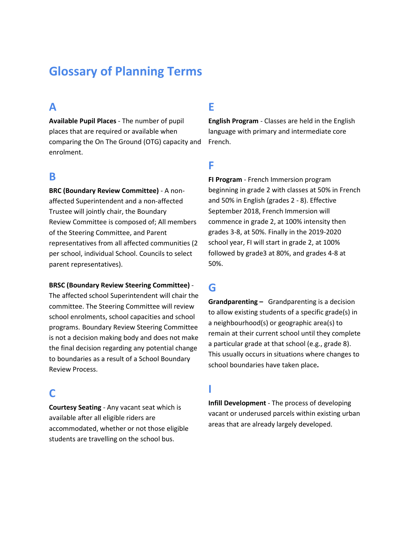# **Glossary of Planning Terms**

#### **A**

**Available Pupil Places** - The number of pupil places that are required or available when comparing the On The Ground (OTG) capacity and enrolment.

#### **B**

**BRC (Boundary Review Committee)** - A nonaffected Superintendent and a non-affected Trustee will jointly chair, the Boundary Review Committee is composed of; All members of the Steering Committee, and Parent representatives from all affected communities (2 per school, individual School. Councils to select parent representatives).

#### **BRSC (Boundary Review Steering Committee)** -

The affected school Superintendent will chair the committee. The Steering Committee will review school enrolments, school capacities and school programs. Boundary Review Steering Committee is not a decision making body and does not make the final decision regarding any potential change to boundaries as a result of a School Boundary Review Process.

## **C**

**Courtesy Seating** - Any vacant seat which is available after all eligible riders are accommodated, whether or not those eligible students are travelling on the school bus.

## **E**

**English Program** - Classes are held in the English language with primary and intermediate core French.

#### **F**

**FI Program** - French Immersion program beginning in grade 2 with classes at 50% in French and 50% in English (grades 2 - 8). Effective September 2018, French Immersion will commence in grade 2, at 100% intensity then grades 3-8, at 50%. Finally in the 2019-2020 school year, FI will start in grade 2, at 100% followed by grade3 at 80%, and grades 4-8 at 50%.

## **G**

**Grandparenting –** Grandparenting is a decision to allow existing students of a specific grade(s) in a neighbourhood(s) or geographic area(s) to remain at their current school until they complete a particular grade at that school (e.g., grade 8). This usually occurs in situations where changes to school boundaries have taken place**.**

## **I**

**Infill Development** - The process of developing vacant or underused parcels within existing urban areas that are already largely developed.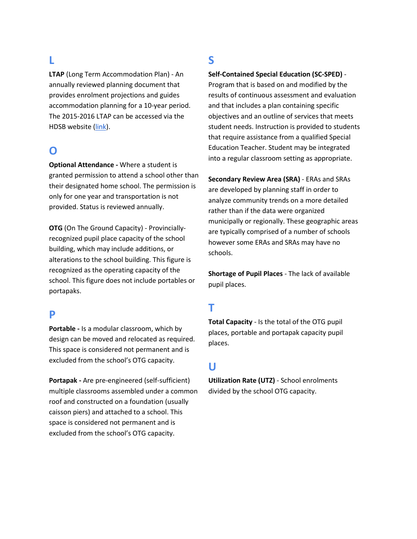# **L**

**LTAP** (Long Term Accommodation Plan) - An annually reviewed planning document that provides enrolment projections and guides accommodation planning for a 10-year period. The 2015-2016 LTAP can be accessed via the HDSB website [\(link\)](https://www.hdsb.ca/our-board/Pages/Publications/Long%20Term-Accommodation-Plan.aspx).

## **O**

**Optional Attendance -** Where a student is granted permission to attend a school other than their designated home school. The permission is only for one year and transportation is not provided. Status is reviewed annually.

**OTG** (On The Ground Capacity) - Provinciallyrecognized pupil place capacity of the school building, which may include additions, or alterations to the school building. This figure is recognized as the operating capacity of the school. This figure does not include portables or portapaks.

#### **P**

**Portable -** Is a modular classroom, which by design can be moved and relocated as required. This space is considered not permanent and is excluded from the school's OTG capacity.

**Portapak -** Are pre-engineered (self-sufficient) multiple classrooms assembled under a common roof and constructed on a foundation (usually caisson piers) and attached to a school. This space is considered not permanent and is excluded from the school's OTG capacity.

# **S**

**Self-Contained Special Education (SC-SPED)** -

Program that is based on and modified by the results of continuous assessment and evaluation and that includes a plan containing specific objectives and an outline of services that meets student needs. Instruction is provided to students that require assistance from a qualified Special Education Teacher. Student may be integrated into a regular classroom setting as appropriate.

**Secondary Review Area (SRA)** - ERAs and SRAs are developed by planning staff in order to analyze community trends on a more detailed rather than if the data were organized municipally or regionally. These geographic areas are typically comprised of a number of schools however some ERAs and SRAs may have no schools.

**Shortage of Pupil Places** - The lack of available pupil places.

# **T**

**Total Capacity** - Is the total of the OTG pupil places, portable and portapak capacity pupil places.

## **U**

**Utilization Rate (UTZ)** - School enrolments divided by the school OTG capacity.